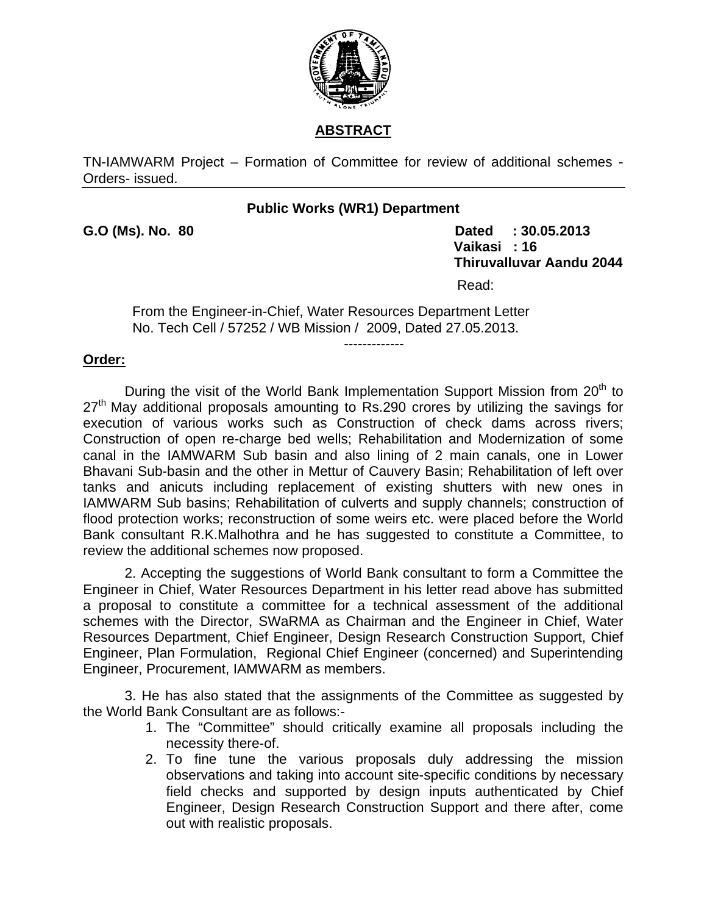

## **ABSTRACT**

TN-IAMWARM Project – Formation of Committee for review of additional schemes - Orders- issued.

## **Public Works (WR1) Department**

**G.O (Ms). No. 80 Dated : 30.05.2013 Vaikasi : 16 Thiruvalluvar Aandu 2044 Read:** The contract of the contract of the contract of the Read:

 From the Engineer-in-Chief, Water Resources Department Letter No. Tech Cell / 57252 / WB Mission / 2009, Dated 27.05.2013.

#### **Order:**

During the visit of the World Bank Implementation Support Mission from  $20<sup>th</sup>$  to  $27<sup>th</sup>$  May additional proposals amounting to Rs.290 crores by utilizing the savings for execution of various works such as Construction of check dams across rivers; Construction of open re-charge bed wells; Rehabilitation and Modernization of some canal in the IAMWARM Sub basin and also lining of 2 main canals, one in Lower Bhavani Sub-basin and the other in Mettur of Cauvery Basin; Rehabilitation of left over tanks and anicuts including replacement of existing shutters with new ones in IAMWARM Sub basins; Rehabilitation of culverts and supply channels; construction of flood protection works; reconstruction of some weirs etc. were placed before the World Bank consultant R.K.Malhothra and he has suggested to constitute a Committee, to review the additional schemes now proposed.

-------------

2. Accepting the suggestions of World Bank consultant to form a Committee the Engineer in Chief, Water Resources Department in his letter read above has submitted a proposal to constitute a committee for a technical assessment of the additional schemes with the Director, SWaRMA as Chairman and the Engineer in Chief, Water Resources Department, Chief Engineer, Design Research Construction Support, Chief Engineer, Plan Formulation, Regional Chief Engineer (concerned) and Superintending Engineer, Procurement, IAMWARM as members.

3. He has also stated that the assignments of the Committee as suggested by the World Bank Consultant are as follows:-

- 1. The "Committee" should critically examine all proposals including the necessity there-of.
- 2. To fine tune the various proposals duly addressing the mission observations and taking into account site-specific conditions by necessary field checks and supported by design inputs authenticated by Chief Engineer, Design Research Construction Support and there after, come out with realistic proposals.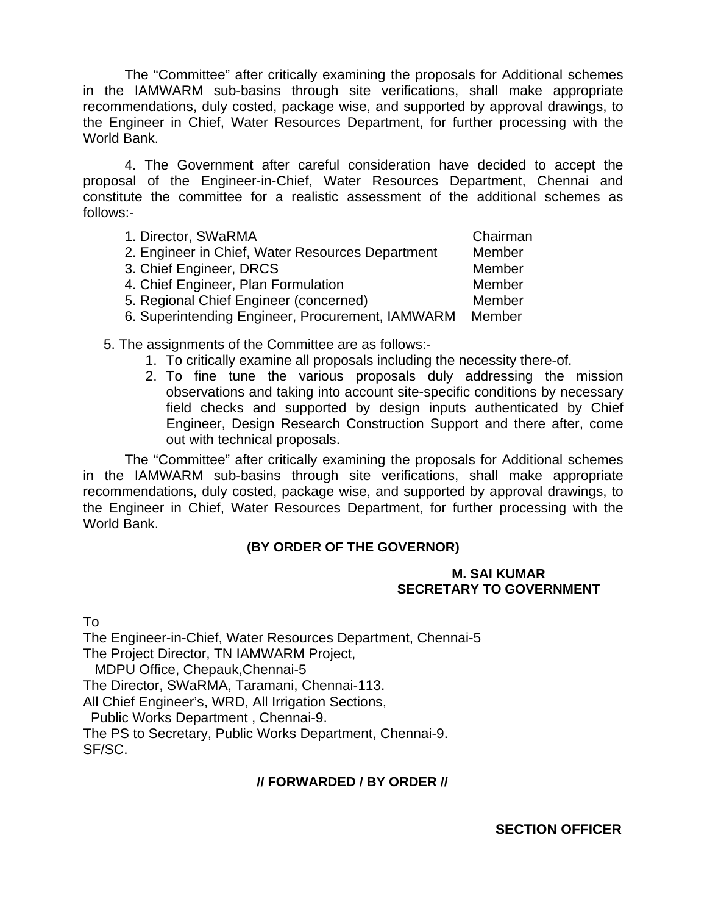The "Committee" after critically examining the proposals for Additional schemes in the IAMWARM sub-basins through site verifications, shall make appropriate recommendations, duly costed, package wise, and supported by approval drawings, to the Engineer in Chief, Water Resources Department, for further processing with the World Bank.

4. The Government after careful consideration have decided to accept the proposal of the Engineer-in-Chief, Water Resources Department, Chennai and constitute the committee for a realistic assessment of the additional schemes as follows:-

| 1. Director, SWaRMA                              | Chairman |
|--------------------------------------------------|----------|
| 2. Engineer in Chief, Water Resources Department | Member   |
| 3. Chief Engineer, DRCS                          | Member   |
| 4. Chief Engineer, Plan Formulation              | Member   |
| 5. Regional Chief Engineer (concerned)           | Member   |
| 6. Superintending Engineer, Procurement, IAMWARM | Member   |

5. The assignments of the Committee are as follows:-

- 1. To critically examine all proposals including the necessity there-of.
- 2. To fine tune the various proposals duly addressing the mission observations and taking into account site-specific conditions by necessary field checks and supported by design inputs authenticated by Chief Engineer, Design Research Construction Support and there after, come out with technical proposals.

The "Committee" after critically examining the proposals for Additional schemes in the IAMWARM sub-basins through site verifications, shall make appropriate recommendations, duly costed, package wise, and supported by approval drawings, to the Engineer in Chief, Water Resources Department, for further processing with the World Bank.

## **(BY ORDER OF THE GOVERNOR)**

#### **M. SAI KUMAR SECRETARY TO GOVERNMENT**

To

The Engineer-in-Chief, Water Resources Department, Chennai-5 The Project Director, TN IAMWARM Project, MDPU Office, Chepauk,Chennai-5 The Director, SWaRMA, Taramani, Chennai-113. All Chief Engineer's, WRD, All Irrigation Sections, Public Works Department , Chennai-9. The PS to Secretary, Public Works Department, Chennai-9. SF/SC.

## **// FORWARDED / BY ORDER //**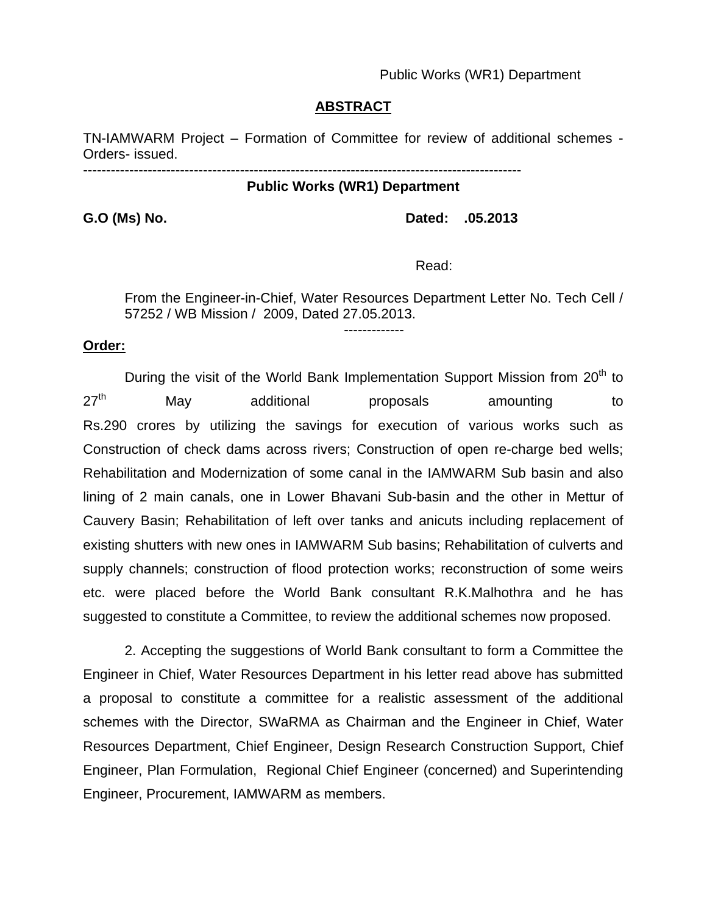Public Works (WR1) Department

#### **ABSTRACT**

TN-IAMWARM Project – Formation of Committee for review of additional schemes - Orders- issued.

# -----------------------------------------------------------------------------------------------

## **Public Works (WR1) Department**

**G.O (Ms) No. Dated: .05.2013** 

Read:

From the Engineer-in-Chief, Water Resources Department Letter No. Tech Cell / 57252 / WB Mission / 2009, Dated 27.05.2013. -------------

#### **Order:**

During the visit of the World Bank Implementation Support Mission from  $20<sup>th</sup>$  to 27<sup>th</sup> May additional proposals amounting to Rs.290 crores by utilizing the savings for execution of various works such as Construction of check dams across rivers; Construction of open re-charge bed wells; Rehabilitation and Modernization of some canal in the IAMWARM Sub basin and also lining of 2 main canals, one in Lower Bhavani Sub-basin and the other in Mettur of Cauvery Basin; Rehabilitation of left over tanks and anicuts including replacement of existing shutters with new ones in IAMWARM Sub basins; Rehabilitation of culverts and supply channels; construction of flood protection works; reconstruction of some weirs etc. were placed before the World Bank consultant R.K.Malhothra and he has suggested to constitute a Committee, to review the additional schemes now proposed.

2. Accepting the suggestions of World Bank consultant to form a Committee the Engineer in Chief, Water Resources Department in his letter read above has submitted a proposal to constitute a committee for a realistic assessment of the additional schemes with the Director, SWaRMA as Chairman and the Engineer in Chief, Water Resources Department, Chief Engineer, Design Research Construction Support, Chief Engineer, Plan Formulation, Regional Chief Engineer (concerned) and Superintending Engineer, Procurement, IAMWARM as members.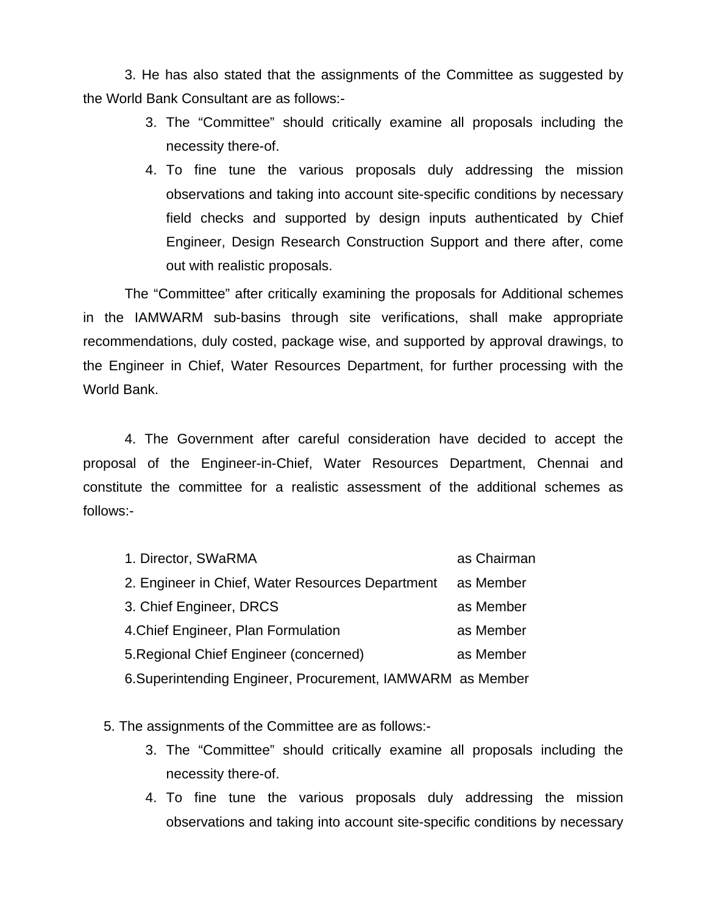3. He has also stated that the assignments of the Committee as suggested by the World Bank Consultant are as follows:-

- 3. The "Committee" should critically examine all proposals including the necessity there-of.
- 4. To fine tune the various proposals duly addressing the mission observations and taking into account site-specific conditions by necessary field checks and supported by design inputs authenticated by Chief Engineer, Design Research Construction Support and there after, come out with realistic proposals.

The "Committee" after critically examining the proposals for Additional schemes in the IAMWARM sub-basins through site verifications, shall make appropriate recommendations, duly costed, package wise, and supported by approval drawings, to the Engineer in Chief, Water Resources Department, for further processing with the World Bank.

4. The Government after careful consideration have decided to accept the proposal of the Engineer-in-Chief, Water Resources Department, Chennai and constitute the committee for a realistic assessment of the additional schemes as follows:-

| 1. Director, SWaRMA                                       | as Chairman |
|-----------------------------------------------------------|-------------|
| 2. Engineer in Chief, Water Resources Department          | as Member   |
| 3. Chief Engineer, DRCS                                   | as Member   |
| 4. Chief Engineer, Plan Formulation                       | as Member   |
| 5. Regional Chief Engineer (concerned)                    | as Member   |
| 6.Superintending Engineer, Procurement, IAMWARM as Member |             |

5. The assignments of the Committee are as follows:-

- 3. The "Committee" should critically examine all proposals including the necessity there-of.
- 4. To fine tune the various proposals duly addressing the mission observations and taking into account site-specific conditions by necessary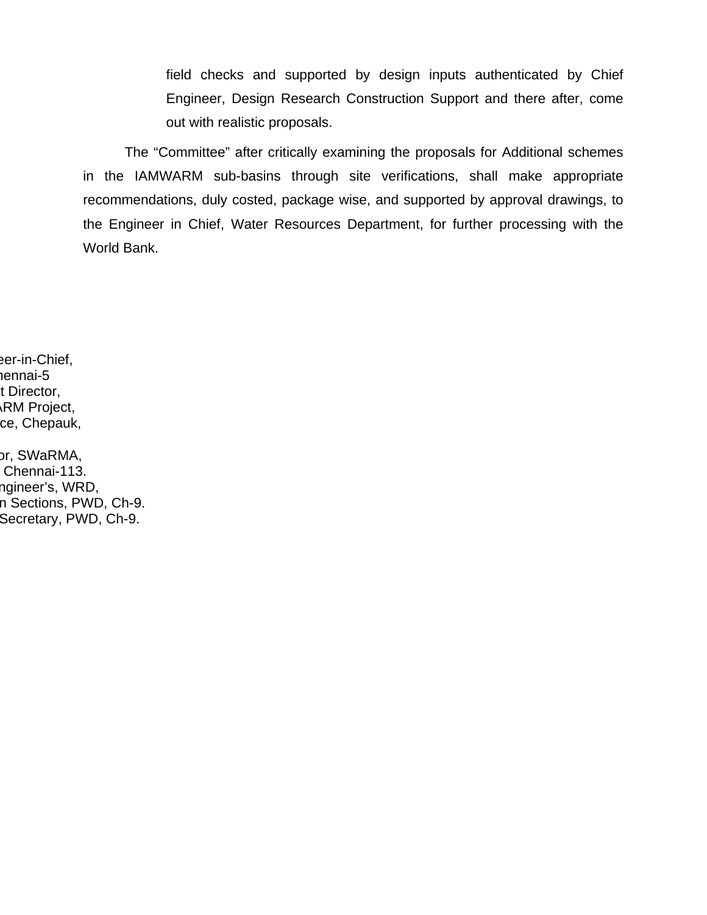field checks and supported by design inputs authenticated by Chief Engineer, Design Research Construction Support and there after, come out with realistic proposals.

The "Committee" after critically examining the proposals for Additional schemes in the IAMWARM sub-basins through site verifications, shall make appropriate recommendations, duly costed, package wise, and supported by approval drawings, to the Engineer in Chief, Water Resources Department, for further processing with the World Bank.

eer-in-Chief, hennai-5 t Director, ARM Project, ce, Chepauk,

or, SWaRMA, Chennai-113. ngineer's, WRD, n Sections, PWD, Ch-9. Secretary, PWD, Ch-9.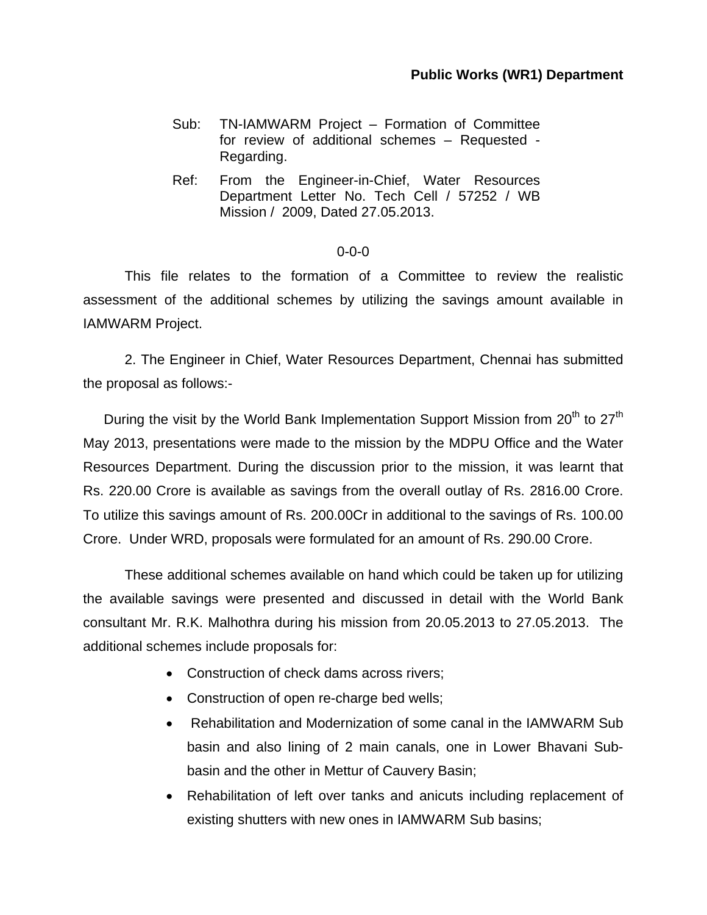## **Public Works (WR1) Department**

- Sub: TN-IAMWARM Project Formation of Committee for review of additional schemes – Requested - Regarding.
- Ref: From the Engineer-in-Chief, Water Resources Department Letter No. Tech Cell / 57252 / WB Mission / 2009, Dated 27.05.2013.

#### 0-0-0

 This file relates to the formation of a Committee to review the realistic assessment of the additional schemes by utilizing the savings amount available in IAMWARM Project.

2. The Engineer in Chief, Water Resources Department, Chennai has submitted the proposal as follows:-

During the visit by the World Bank Implementation Support Mission from  $20<sup>th</sup>$  to  $27<sup>th</sup>$ May 2013, presentations were made to the mission by the MDPU Office and the Water Resources Department. During the discussion prior to the mission, it was learnt that Rs. 220.00 Crore is available as savings from the overall outlay of Rs. 2816.00 Crore. To utilize this savings amount of Rs. 200.00Cr in additional to the savings of Rs. 100.00 Crore. Under WRD, proposals were formulated for an amount of Rs. 290.00 Crore.

 These additional schemes available on hand which could be taken up for utilizing the available savings were presented and discussed in detail with the World Bank consultant Mr. R.K. Malhothra during his mission from 20.05.2013 to 27.05.2013. The additional schemes include proposals for:

- Construction of check dams across rivers;
- Construction of open re-charge bed wells;
- Rehabilitation and Modernization of some canal in the IAMWARM Sub basin and also lining of 2 main canals, one in Lower Bhavani Subbasin and the other in Mettur of Cauvery Basin;
- Rehabilitation of left over tanks and anicuts including replacement of existing shutters with new ones in IAMWARM Sub basins;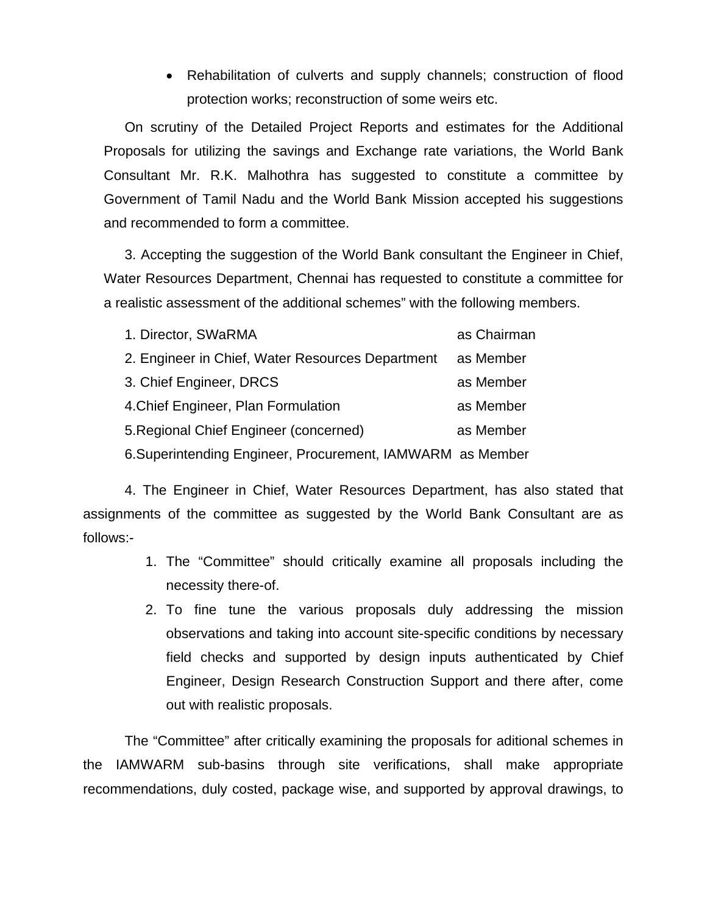• Rehabilitation of culverts and supply channels; construction of flood protection works; reconstruction of some weirs etc.

On scrutiny of the Detailed Project Reports and estimates for the Additional Proposals for utilizing the savings and Exchange rate variations, the World Bank Consultant Mr. R.K. Malhothra has suggested to constitute a committee by Government of Tamil Nadu and the World Bank Mission accepted his suggestions and recommended to form a committee.

3. Accepting the suggestion of the World Bank consultant the Engineer in Chief, Water Resources Department, Chennai has requested to constitute a committee for a realistic assessment of the additional schemes" with the following members.

| 1. Director, SWaRMA                                       | as Chairman |
|-----------------------------------------------------------|-------------|
| 2. Engineer in Chief, Water Resources Department          | as Member   |
| 3. Chief Engineer, DRCS                                   | as Member   |
| 4. Chief Engineer, Plan Formulation                       | as Member   |
| 5. Regional Chief Engineer (concerned)                    | as Member   |
| 6.Superintending Engineer, Procurement, IAMWARM as Member |             |

 4. The Engineer in Chief, Water Resources Department, has also stated that assignments of the committee as suggested by the World Bank Consultant are as follows:-

- 1. The "Committee" should critically examine all proposals including the necessity there-of.
- 2. To fine tune the various proposals duly addressing the mission observations and taking into account site-specific conditions by necessary field checks and supported by design inputs authenticated by Chief Engineer, Design Research Construction Support and there after, come out with realistic proposals.

The "Committee" after critically examining the proposals for aditional schemes in the IAMWARM sub-basins through site verifications, shall make appropriate recommendations, duly costed, package wise, and supported by approval drawings, to